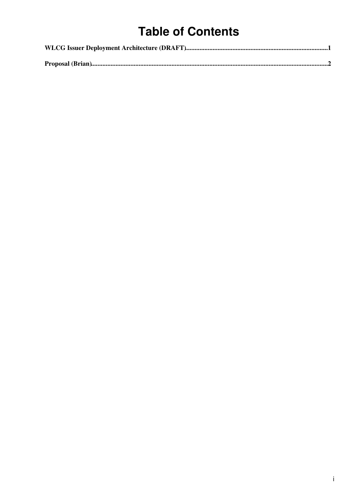## **Table of Contents**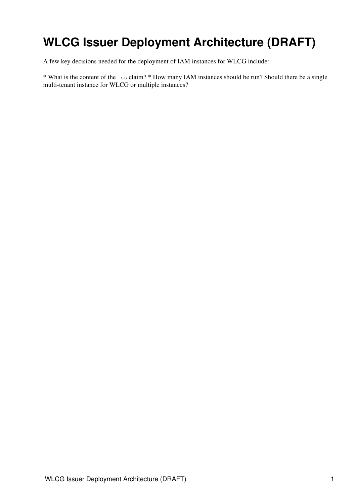## <span id="page-1-0"></span>**WLCG Issuer Deployment Architecture (DRAFT)**

A few key decisions needed for the deployment of IAM instances for WLCG include:

\* What is the content of the iss claim? \* How many IAM instances should be run? Should there be a single multi-tenant instance for WLCG or multiple instances?